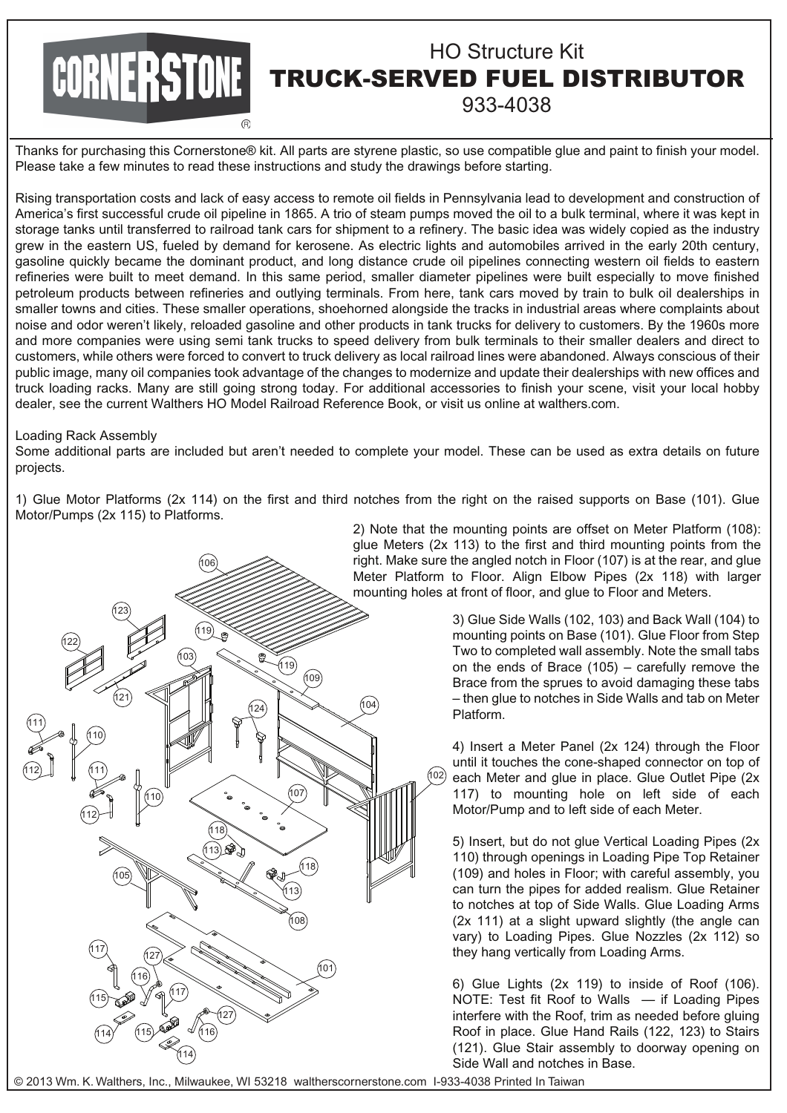# HO Structure Kit TRUCK-SERVED FUEL DISTRIBUTOR 933-4038

Thanks for purchasing this Cornerstone® kit. All parts are styrene plastic, so use compatible glue and paint to finish your model. Please take a few minutes to read these instructions and study the drawings before starting.

Rising transportation costs and lack of easy access to remote oil fields in Pennsylvania lead to development and construction of America's first successful crude oil pipeline in 1865. A trio of steam pumps moved the oil to a bulk terminal, where it was kept in storage tanks until transferred to railroad tank cars for shipment to a refinery. The basic idea was widely copied as the industry grew in the eastern US, fueled by demand for kerosene. As electric lights and automobiles arrived in the early 20th century, gasoline quickly became the dominant product, and long distance crude oil pipelines connecting western oil fields to eastern refineries were built to meet demand. In this same period, smaller diameter pipelines were built especially to move finished petroleum products between refineries and outlying terminals. From here, tank cars moved by train to bulk oil dealerships in smaller towns and cities. These smaller operations, shoehorned alongside the tracks in industrial areas where complaints about noise and odor weren't likely, reloaded gasoline and other products in tank trucks for delivery to customers. By the 1960s more and more companies were using semi tank trucks to speed delivery from bulk terminals to their smaller dealers and direct to customers, while others were forced to convert to truck delivery as local railroad lines were abandoned. Always conscious of their public image, many oil companies took advantage of the changes to modernize and update their dealerships with new offices and truck loading racks. Many are still going strong today. For additional accessories to finish your scene, visit your local hobby dealer, see the current Walthers HO Model Railroad Reference Book, or visit us online at walthers.com.

#### Loading Rack Assembly

Some additional parts are included but aren't needed to complete your model. These can be used as extra details on future projects.

1) Glue Motor Platforms (2x 114) on the first and third notches from the right on the raised supports on Base (101). Glue Motor/Pumps (2x 115) to Platforms.



2) Note that the mounting points are offset on Meter Platform (108): glue Meters (2x 113) to the first and third mounting points from the right. Make sure the angled notch in Floor (107) is at the rear, and glue Meter Platform to Floor. Align Elbow Pipes (2x 118) with larger mounting holes at front of floor, and glue to Floor and Meters.

> 3) Glue Side Walls (102, 103) and Back Wall (104) to mounting points on Base (101). Glue Floor from Step Two to completed wall assembly. Note the small tabs on the ends of Brace (105) – carefully remove the Brace from the sprues to avoid damaging these tabs – then glue to notches in Side Walls and tab on Meter Platform.

> 4) Insert a Meter Panel (2x 124) through the Floor until it touches the cone-shaped connector on top of each Meter and glue in place. Glue Outlet Pipe (2x 117) to mounting hole on left side of each Motor/Pump and to left side of each Meter.

> 5) Insert, but do not glue Vertical Loading Pipes (2x 110) through openings in Loading Pipe Top Retainer (109) and holes in Floor; with careful assembly, you can turn the pipes for added realism. Glue Retainer to notches at top of Side Walls. Glue Loading Arms (2x 111) at a slight upward slightly (the angle can vary) to Loading Pipes. Glue Nozzles (2x 112) so they hang vertically from Loading Arms.

> 6) Glue Lights (2x 119) to inside of Roof (106). NOTE: Test fit Roof to Walls — if Loading Pipes interfere with the Roof, trim as needed before gluing Roof in place. Glue Hand Rails (122, 123) to Stairs (121). Glue Stair assembly to doorway opening on Side Wall and notches in Base.

© 2013 Wm. K. Walthers, Inc., Milwaukee, WI 53218 waltherscornerstone.com I-933-4038 Printed In Taiwan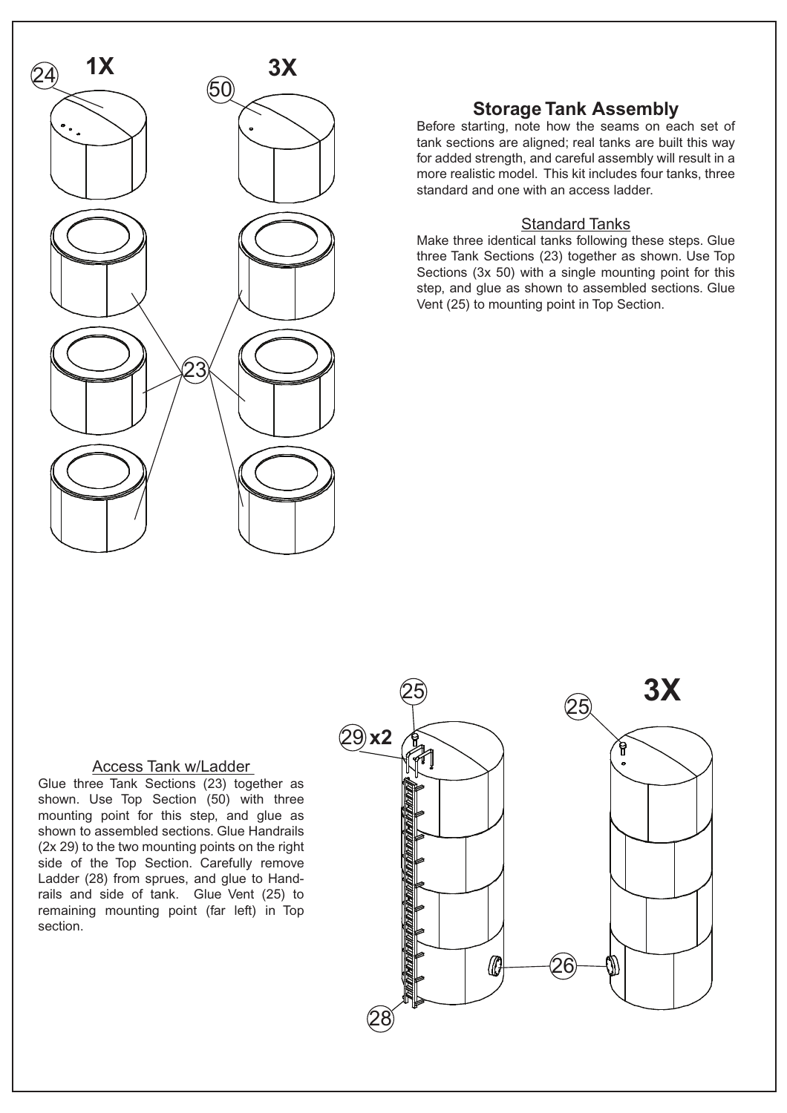

## **Storage Tank Assembly**

Before starting, note how the seams on each set of tank sections are aligned; real tanks are built this way for added strength, and careful assembly will result in a more realistic model. This kit includes four tanks, three standard and one with an access ladder.

#### Standard Tanks

Make three identical tanks following these steps. Glue three Tank Sections (23) together as shown. Use Top Sections (3x 50) with a single mounting point for this step, and glue as shown to assembled sections. Glue Vent (25) to mounting point in Top Section.

### Access Tank w/Ladder

Glue three Tank Sections (23) together as shown. Use Top Section (50) with three mounting point for this step, and glue as shown to assembled sections. Glue Handrails (2x 29) to the two mounting points on the right side of the Top Section. Carefully remove Ladder (28) from sprues, and glue to Handrails and side of tank. Glue Vent (25) to remaining mounting point (far left) in Top section.

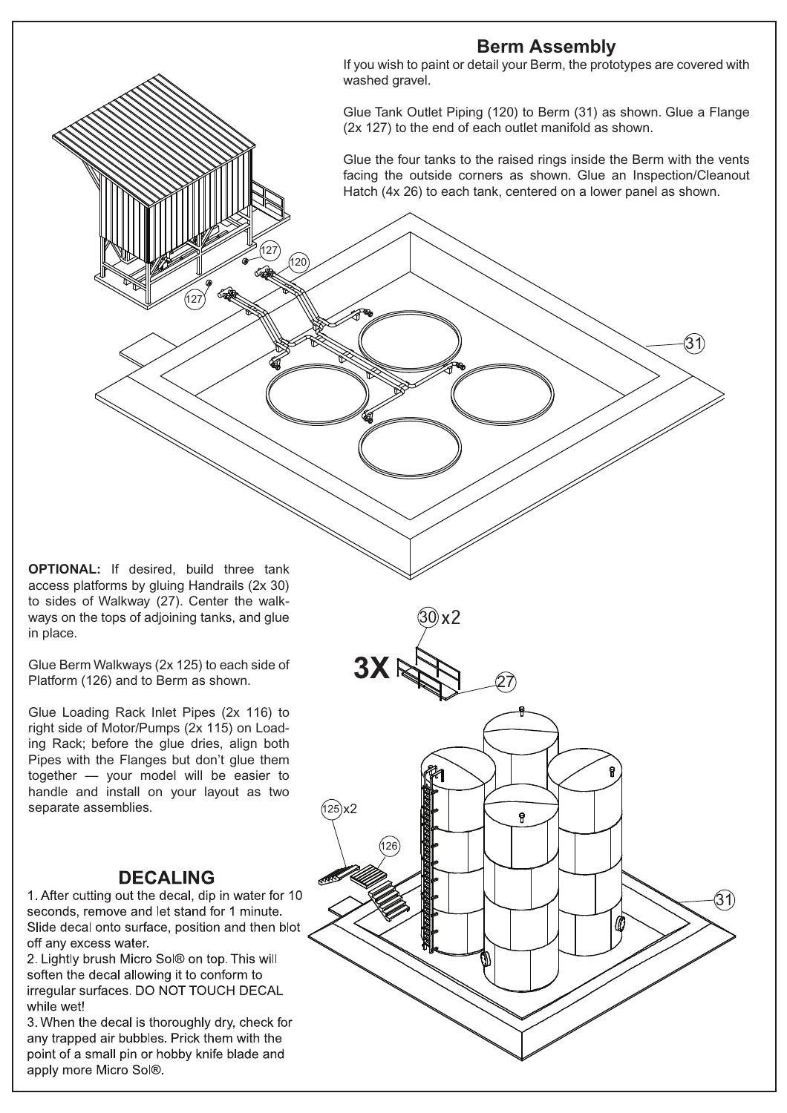## **Berm Assembly**

If you wish to paint or detail your Berm, the prototypes are covered with washed gravel.

Glue Tank Outlet Piping (120) to Berm (31) as shown. Glue a Flange (2x 127) to the end of each outlet manifold as shown.

Glue the four tanks to the raised rings inside the Berm with the vents facing the outside corners as shown. Glue an Inspection/Cleanout Hatch (4x 26) to each tank, centered on a lower panel as shown.

31

**OPTIONAL:** If desired, build three tank access platforms by gluing Handrails (2x 30) to sides of Walkway (27). Center the walkways on the tops of adjoining tanks, and glue in place.

127

127

120

Glue Berm Walkways (2x 125) to each side of Platform (126) and to Berm as shown.

Glue Loading Rack Inlet Pipes (2x 116) to right side of Motor/Pumps (2x 115) on Loading Rack; before the glue dries, align both Pipes with the Flanges but don't glue them together — your model will be easier to handle and install on your layout as two separate assemblies.

## **DECALING**

1. After cutting out the decal, dip in water for 10 seconds, remove and let stand for 1 minute. Slide decal onto surface, position and then blot off any excess water.

2. Lightly brush Micro Sol® on top. This will soften the decal allowing it to conform to irregular surfaces. DO NOT TOUCH DECAL while wet!

3. When the decal is thoroughly dry, check for any trapped air bubbles. Prick them with the point of a small pin or hobby knife blade and apply more Micro Sol®.



30 x2